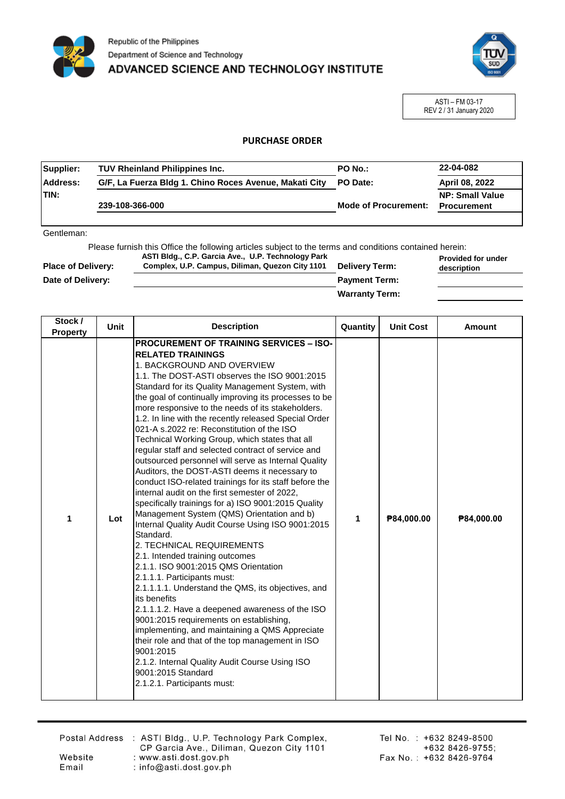



ASTI – FM 03-17 REV 2 / 31 January 2020

## **PURCHASE ORDER**

| Supplier:        | <b>TUV Rheinland Philippines Inc.</b><br><b>PO No.:</b> |                             | 22-04-082              |
|------------------|---------------------------------------------------------|-----------------------------|------------------------|
| <b>IAddress:</b> | G/F, La Fuerza Bldg 1. Chino Roces Avenue, Makati City  | PO Date:                    | April 08, 2022         |
| ITIN:            |                                                         |                             | <b>NP: Small Value</b> |
|                  | 239-108-366-000                                         | <b>Mode of Procurement:</b> | <b>Procurement</b>     |
|                  |                                                         |                             |                        |

Gentleman:

Please furnish this Office the following articles subject to the terms and conditions contained herein: **Provided for under ASTI Bldg., C.P. Garcia Ave., U.P. Technology Park** 

| <b>Place of Delivery:</b> | Complex, U.P. Campus, Diliman, Quezon City 1101 | <b>Delivery Term:</b> | description |
|---------------------------|-------------------------------------------------|-----------------------|-------------|
| Date of Delivery:         |                                                 | <b>Payment Term:</b>  |             |
|                           |                                                 | <b>Warranty Term:</b> |             |

| Stock /<br><b>Property</b> | Unit | <b>Description</b>                                                                                                                                                                                                                                                                                                                                                                                                                                                                                                                                                                                                                                                                                                                                                                                                                                                                                                                                                                                                                                                                                                                                                                                                                                                                                                                                                                                                                                                        | Quantity | <b>Unit Cost</b> | <b>Amount</b> |
|----------------------------|------|---------------------------------------------------------------------------------------------------------------------------------------------------------------------------------------------------------------------------------------------------------------------------------------------------------------------------------------------------------------------------------------------------------------------------------------------------------------------------------------------------------------------------------------------------------------------------------------------------------------------------------------------------------------------------------------------------------------------------------------------------------------------------------------------------------------------------------------------------------------------------------------------------------------------------------------------------------------------------------------------------------------------------------------------------------------------------------------------------------------------------------------------------------------------------------------------------------------------------------------------------------------------------------------------------------------------------------------------------------------------------------------------------------------------------------------------------------------------------|----------|------------------|---------------|
| 1                          | Lot  | <b>PROCUREMENT OF TRAINING SERVICES - ISO-</b><br><b>RELATED TRAININGS</b><br>1. BACKGROUND AND OVERVIEW<br>1.1. The DOST-ASTI observes the ISO 9001:2015<br>Standard for its Quality Management System, with<br>the goal of continually improving its processes to be<br>more responsive to the needs of its stakeholders.<br>1.2. In line with the recently released Special Order<br>021-A s.2022 re: Reconstitution of the ISO<br>Technical Working Group, which states that all<br>regular staff and selected contract of service and<br>outsourced personnel will serve as Internal Quality<br>Auditors, the DOST-ASTI deems it necessary to<br>conduct ISO-related trainings for its staff before the<br>internal audit on the first semester of 2022,<br>specifically trainings for a) ISO 9001:2015 Quality<br>Management System (QMS) Orientation and b)<br>Internal Quality Audit Course Using ISO 9001:2015<br>Standard.<br>2. TECHNICAL REQUIREMENTS<br>2.1. Intended training outcomes<br>2.1.1. ISO 9001:2015 QMS Orientation<br>2.1.1.1. Participants must:<br>2.1.1.1.1. Understand the QMS, its objectives, and<br>its benefits<br>2.1.1.1.2. Have a deepened awareness of the ISO<br>9001:2015 requirements on establishing,<br>implementing, and maintaining a QMS Appreciate<br>their role and that of the top management in ISO<br>9001:2015<br>2.1.2. Internal Quality Audit Course Using ISO<br>9001:2015 Standard<br>2.1.2.1. Participants must: | 1        | P84,000.00       | P84,000.00    |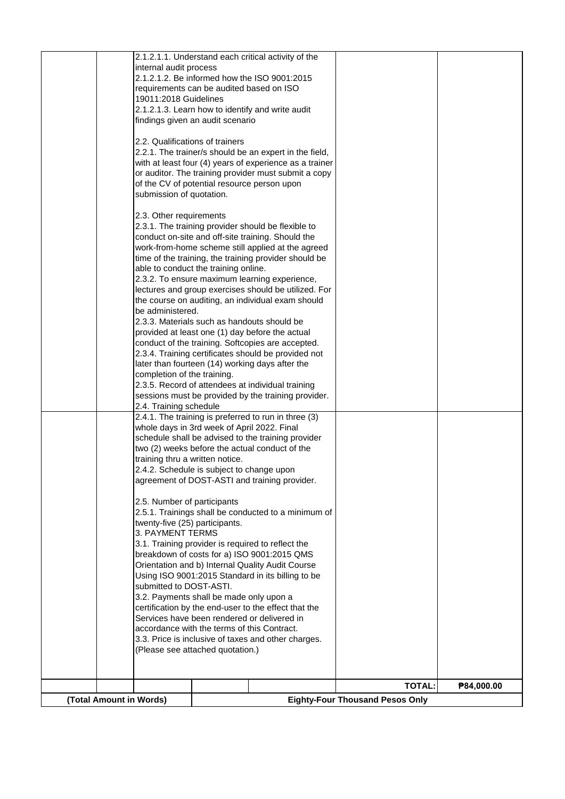| submitted to DOST-ASTI.                            | 3.2. Payments shall be made only upon a<br>certification by the end-user to the effect that the                 |  |
|----------------------------------------------------|-----------------------------------------------------------------------------------------------------------------|--|
|                                                    | Using ISO 9001:2015 Standard in its billing to be                                                               |  |
|                                                    | Orientation and b) Internal Quality Audit Course                                                                |  |
|                                                    | 3.1. Training provider is required to reflect the<br>breakdown of costs for a) ISO 9001:2015 QMS                |  |
| twenty-five (25) participants.<br>3. PAYMENT TERMS |                                                                                                                 |  |
| 2.5. Number of participants                        | 2.5.1. Trainings shall be conducted to a minimum of                                                             |  |
|                                                    | 2.4.2. Schedule is subject to change upon<br>agreement of DOST-ASTI and training provider.                      |  |
| training thru a written notice.                    | two (2) weeks before the actual conduct of the                                                                  |  |
|                                                    | whole days in 3rd week of April 2022. Final<br>schedule shall be advised to the training provider               |  |
| 2.4. Training schedule                             | 2.4.1. The training is preferred to run in three (3)                                                            |  |
|                                                    | 2.3.5. Record of attendees at individual training<br>sessions must be provided by the training provider.        |  |
| completion of the training.                        | later than fourteen (14) working days after the                                                                 |  |
|                                                    | conduct of the training. Softcopies are accepted.<br>2.3.4. Training certificates should be provided not        |  |
|                                                    | provided at least one (1) day before the actual                                                                 |  |
| be administered.                                   | 2.3.3. Materials such as handouts should be                                                                     |  |
|                                                    | the course on auditing, an individual exam should                                                               |  |
|                                                    | 2.3.2. To ensure maximum learning experience,<br>lectures and group exercises should be utilized. For           |  |
|                                                    | time of the training, the training provider should be<br>able to conduct the training online.                   |  |
|                                                    | work-from-home scheme still applied at the agreed                                                               |  |
|                                                    | 2.3.1. The training provider should be flexible to<br>conduct on-site and off-site training. Should the         |  |
| 2.3. Other requirements                            |                                                                                                                 |  |
| submission of quotation.                           | of the CV of potential resource person upon                                                                     |  |
|                                                    | with at least four (4) years of experience as a trainer<br>or auditor. The training provider must submit a copy |  |
| 2.2. Qualifications of trainers                    | 2.2.1. The trainer/s should be an expert in the field,                                                          |  |
|                                                    | findings given an audit scenario                                                                                |  |
| 19011:2018 Guidelines                              | 2.1.2.1.3. Learn how to identify and write audit                                                                |  |
|                                                    | requirements can be audited based on ISO                                                                        |  |
| internal audit process                             | 2.1.2.1.2. Be informed how the ISO 9001:2015                                                                    |  |
|                                                    | 2.1.2.1.1. Understand each critical activity of the                                                             |  |